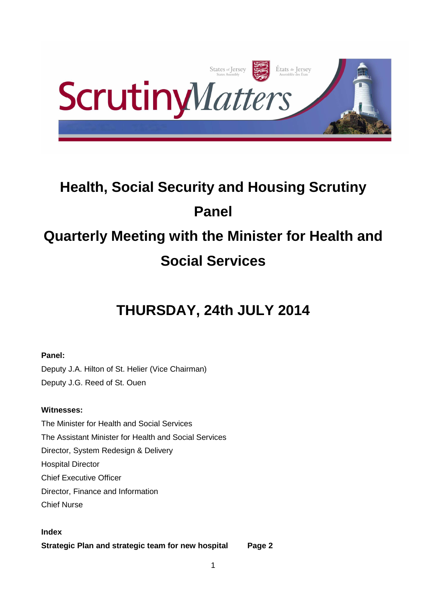

# **Health, Social Security and Housing Scrutiny Panel Quarterly Meeting with the Minister for Health and Social Services**

# **THURSDAY, 24th JULY 2014**

## **Panel:**

Deputy J.A. Hilton of St. Helier (Vice Chairman) Deputy J.G. Reed of St. Ouen

## **Witnesses:**

The Minister for Health and Social Services The Assistant Minister for Health and Social Services Director, System Redesign & Delivery Hospital Director Chief Executive Officer Director, Finance and Information Chief Nurse

## **Index**

**Strategic Plan and strategic team for new hospital Page 2**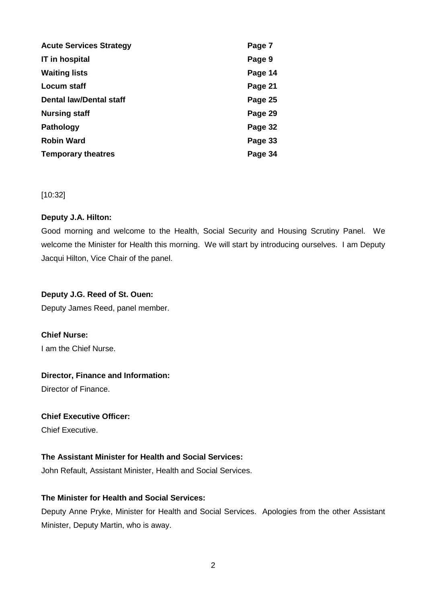| <b>Acute Services Strategy</b> | Page 7  |
|--------------------------------|---------|
| <b>IT</b> in hospital          | Page 9  |
| <b>Waiting lists</b>           | Page 14 |
| Locum staff                    | Page 21 |
| <b>Dental law/Dental staff</b> | Page 25 |
| <b>Nursing staff</b>           | Page 29 |
| <b>Pathology</b>               | Page 32 |
| <b>Robin Ward</b>              | Page 33 |
| <b>Temporary theatres</b>      | Page 34 |

[10:32]

#### **Deputy J.A. Hilton:**

Good morning and welcome to the Health, Social Security and Housing Scrutiny Panel. We welcome the Minister for Health this morning. We will start by introducing ourselves. I am Deputy Jacqui Hilton, Vice Chair of the panel.

## **Deputy J.G. Reed of St. Ouen:**

Deputy James Reed, panel member.

## **Chief Nurse:**

I am the Chief Nurse.

## **Director, Finance and Information:**

Director of Finance.

## **Chief Executive Officer:**

Chief Executive.

## **The Assistant Minister for Health and Social Services:**

John Refault, Assistant Minister, Health and Social Services.

## **The Minister for Health and Social Services:**

Deputy Anne Pryke, Minister for Health and Social Services. Apologies from the other Assistant Minister, Deputy Martin, who is away.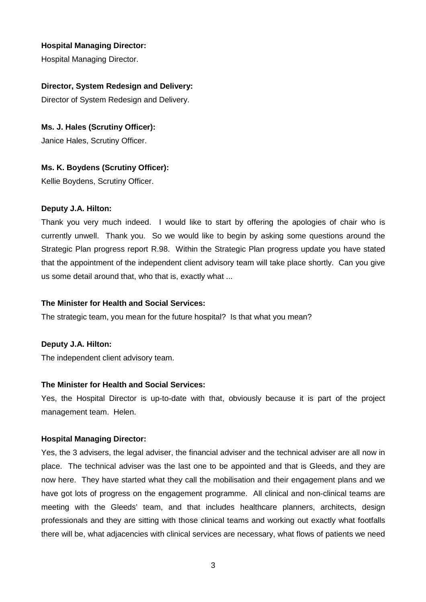Hospital Managing Director.

## **Director, System Redesign and Delivery:**

Director of System Redesign and Delivery.

## **Ms. J. Hales (Scrutiny Officer):**

Janice Hales, Scrutiny Officer.

## **Ms. K. Boydens (Scrutiny Officer):**

Kellie Boydens, Scrutiny Officer.

#### **Deputy J.A. Hilton:**

Thank you very much indeed. I would like to start by offering the apologies of chair who is currently unwell. Thank you. So we would like to begin by asking some questions around the Strategic Plan progress report R.98. Within the Strategic Plan progress update you have stated that the appointment of the independent client advisory team will take place shortly. Can you give us some detail around that, who that is, exactly what ...

#### **The Minister for Health and Social Services:**

The strategic team, you mean for the future hospital? Is that what you mean?

#### **Deputy J.A. Hilton:**

The independent client advisory team.

#### **The Minister for Health and Social Services:**

Yes, the Hospital Director is up-to-date with that, obviously because it is part of the project management team. Helen.

#### **Hospital Managing Director:**

Yes, the 3 advisers, the legal adviser, the financial adviser and the technical adviser are all now in place. The technical adviser was the last one to be appointed and that is Gleeds, and they are now here. They have started what they call the mobilisation and their engagement plans and we have got lots of progress on the engagement programme. All clinical and non-clinical teams are meeting with the Gleeds' team, and that includes healthcare planners, architects, design professionals and they are sitting with those clinical teams and working out exactly what footfalls there will be, what adjacencies with clinical services are necessary, what flows of patients we need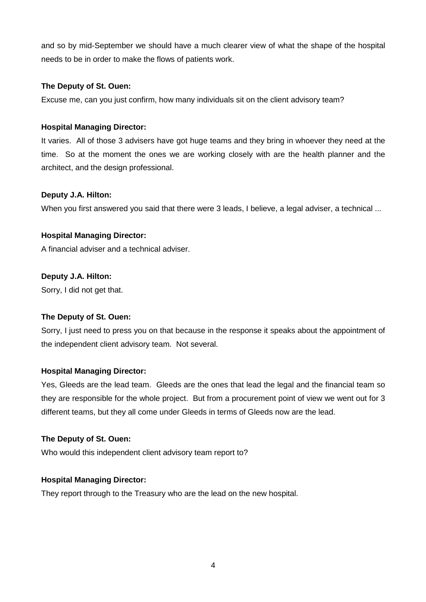and so by mid-September we should have a much clearer view of what the shape of the hospital needs to be in order to make the flows of patients work.

## **The Deputy of St. Ouen:**

Excuse me, can you just confirm, how many individuals sit on the client advisory team?

## **Hospital Managing Director:**

It varies. All of those 3 advisers have got huge teams and they bring in whoever they need at the time. So at the moment the ones we are working closely with are the health planner and the architect, and the design professional.

## **Deputy J.A. Hilton:**

When you first answered you said that there were 3 leads, I believe, a legal adviser, a technical ...

## **Hospital Managing Director:**

A financial adviser and a technical adviser.

## **Deputy J.A. Hilton:**

Sorry, I did not get that.

#### **The Deputy of St. Ouen:**

Sorry, I just need to press you on that because in the response it speaks about the appointment of the independent client advisory team. Not several.

## **Hospital Managing Director:**

Yes, Gleeds are the lead team. Gleeds are the ones that lead the legal and the financial team so they are responsible for the whole project. But from a procurement point of view we went out for 3 different teams, but they all come under Gleeds in terms of Gleeds now are the lead.

#### **The Deputy of St. Ouen:**

Who would this independent client advisory team report to?

## **Hospital Managing Director:**

They report through to the Treasury who are the lead on the new hospital.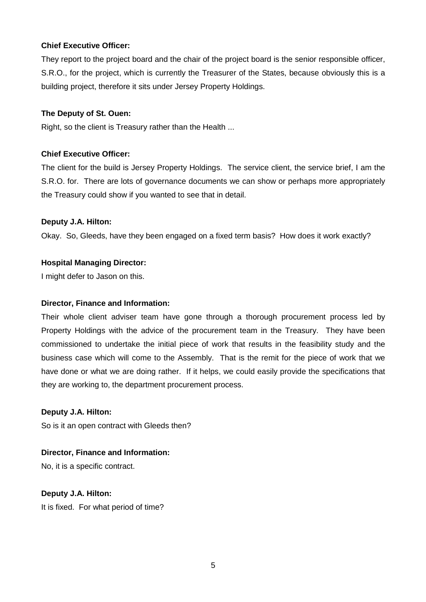## **Chief Executive Officer:**

They report to the project board and the chair of the project board is the senior responsible officer, S.R.O., for the project, which is currently the Treasurer of the States, because obviously this is a building project, therefore it sits under Jersey Property Holdings.

#### **The Deputy of St. Ouen:**

Right, so the client is Treasury rather than the Health ...

## **Chief Executive Officer:**

The client for the build is Jersey Property Holdings. The service client, the service brief, I am the S.R.O. for. There are lots of governance documents we can show or perhaps more appropriately the Treasury could show if you wanted to see that in detail.

#### **Deputy J.A. Hilton:**

Okay. So, Gleeds, have they been engaged on a fixed term basis? How does it work exactly?

## **Hospital Managing Director:**

I might defer to Jason on this.

#### **Director, Finance and Information:**

Their whole client adviser team have gone through a thorough procurement process led by Property Holdings with the advice of the procurement team in the Treasury. They have been commissioned to undertake the initial piece of work that results in the feasibility study and the business case which will come to the Assembly. That is the remit for the piece of work that we have done or what we are doing rather. If it helps, we could easily provide the specifications that they are working to, the department procurement process.

**Deputy J.A. Hilton:** 

So is it an open contract with Gleeds then?

**Director, Finance and Information:**  No, it is a specific contract.

**Deputy J.A. Hilton:**  It is fixed. For what period of time?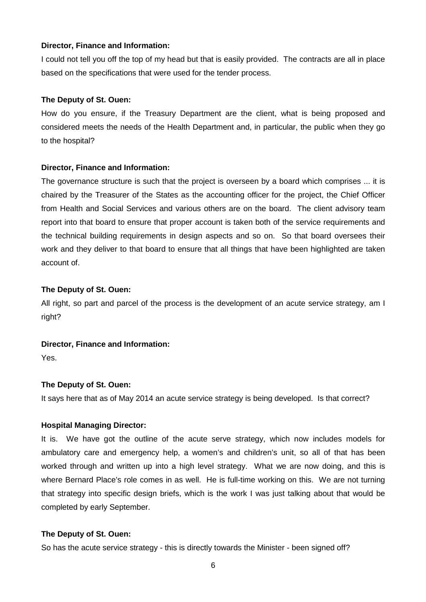#### **Director, Finance and Information:**

I could not tell you off the top of my head but that is easily provided. The contracts are all in place based on the specifications that were used for the tender process.

#### **The Deputy of St. Ouen:**

How do you ensure, if the Treasury Department are the client, what is being proposed and considered meets the needs of the Health Department and, in particular, the public when they go to the hospital?

#### **Director, Finance and Information:**

The governance structure is such that the project is overseen by a board which comprises ... it is chaired by the Treasurer of the States as the accounting officer for the project, the Chief Officer from Health and Social Services and various others are on the board. The client advisory team report into that board to ensure that proper account is taken both of the service requirements and the technical building requirements in design aspects and so on. So that board oversees their work and they deliver to that board to ensure that all things that have been highlighted are taken account of.

#### **The Deputy of St. Ouen:**

All right, so part and parcel of the process is the development of an acute service strategy, am I right?

#### **Director, Finance and Information:**

Yes.

#### **The Deputy of St. Ouen:**

It says here that as of May 2014 an acute service strategy is being developed. Is that correct?

#### **Hospital Managing Director:**

It is. We have got the outline of the acute serve strategy, which now includes models for ambulatory care and emergency help, a women's and children's unit, so all of that has been worked through and written up into a high level strategy. What we are now doing, and this is where Bernard Place's role comes in as well. He is full-time working on this. We are not turning that strategy into specific design briefs, which is the work I was just talking about that would be completed by early September.

#### **The Deputy of St. Ouen:**

So has the acute service strategy - this is directly towards the Minister - been signed off?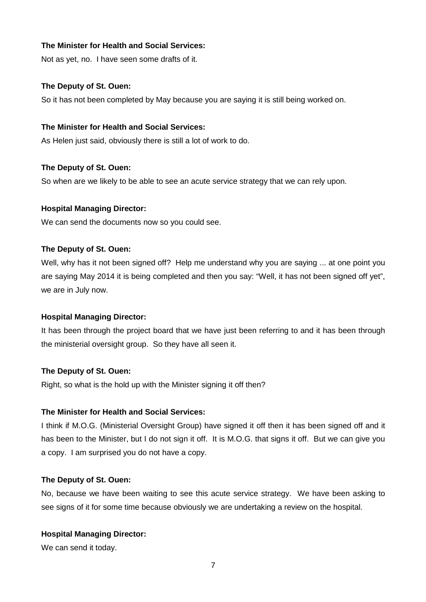## **The Minister for Health and Social Services:**

Not as yet, no. I have seen some drafts of it.

#### **The Deputy of St. Ouen:**

So it has not been completed by May because you are saying it is still being worked on.

## **The Minister for Health and Social Services:**

As Helen just said, obviously there is still a lot of work to do.

## **The Deputy of St. Ouen:**

So when are we likely to be able to see an acute service strategy that we can rely upon.

#### **Hospital Managing Director:**

We can send the documents now so you could see.

#### **The Deputy of St. Ouen:**

Well, why has it not been signed off? Help me understand why you are saying ... at one point you are saying May 2014 it is being completed and then you say: "Well, it has not been signed off yet", we are in July now.

#### **Hospital Managing Director:**

It has been through the project board that we have just been referring to and it has been through the ministerial oversight group. So they have all seen it.

#### **The Deputy of St. Ouen:**

Right, so what is the hold up with the Minister signing it off then?

#### **The Minister for Health and Social Services:**

I think if M.O.G. (Ministerial Oversight Group) have signed it off then it has been signed off and it has been to the Minister, but I do not sign it off. It is M.O.G. that signs it off. But we can give you a copy. I am surprised you do not have a copy.

#### **The Deputy of St. Ouen:**

No, because we have been waiting to see this acute service strategy. We have been asking to see signs of it for some time because obviously we are undertaking a review on the hospital.

#### **Hospital Managing Director:**

We can send it today.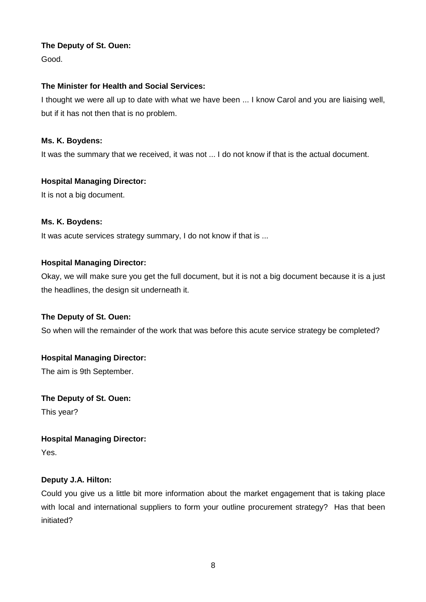Good.

## **The Minister for Health and Social Services:**

I thought we were all up to date with what we have been ... I know Carol and you are liaising well, but if it has not then that is no problem.

## **Ms. K. Boydens:**

It was the summary that we received, it was not ... I do not know if that is the actual document.

## **Hospital Managing Director:**

It is not a big document.

## **Ms. K. Boydens:**

It was acute services strategy summary, I do not know if that is ...

## **Hospital Managing Director:**

Okay, we will make sure you get the full document, but it is not a big document because it is a just the headlines, the design sit underneath it.

#### **The Deputy of St. Ouen:**

So when will the remainder of the work that was before this acute service strategy be completed?

## **Hospital Managing Director:**

The aim is 9th September.

#### **The Deputy of St. Ouen:**

This year?

#### **Hospital Managing Director:**

Yes.

## **Deputy J.A. Hilton:**

Could you give us a little bit more information about the market engagement that is taking place with local and international suppliers to form your outline procurement strategy? Has that been initiated?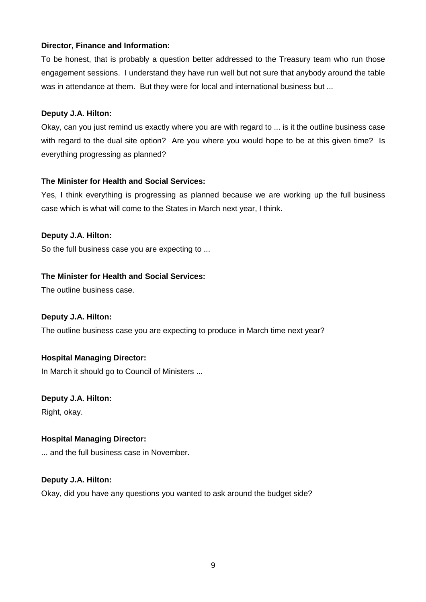## **Director, Finance and Information:**

To be honest, that is probably a question better addressed to the Treasury team who run those engagement sessions. I understand they have run well but not sure that anybody around the table was in attendance at them. But they were for local and international business but ...

## **Deputy J.A. Hilton:**

Okay, can you just remind us exactly where you are with regard to ... is it the outline business case with regard to the dual site option? Are you where you would hope to be at this given time? Is everything progressing as planned?

## **The Minister for Health and Social Services:**

Yes, I think everything is progressing as planned because we are working up the full business case which is what will come to the States in March next year, I think.

## **Deputy J.A. Hilton:**

So the full business case you are expecting to ...

## **The Minister for Health and Social Services:**

The outline business case.

#### **Deputy J.A. Hilton:**

The outline business case you are expecting to produce in March time next year?

## **Hospital Managing Director:**

In March it should go to Council of Ministers ...

#### **Deputy J.A. Hilton:**

Right, okay.

## **Hospital Managing Director:**

... and the full business case in November.

## **Deputy J.A. Hilton:**

Okay, did you have any questions you wanted to ask around the budget side?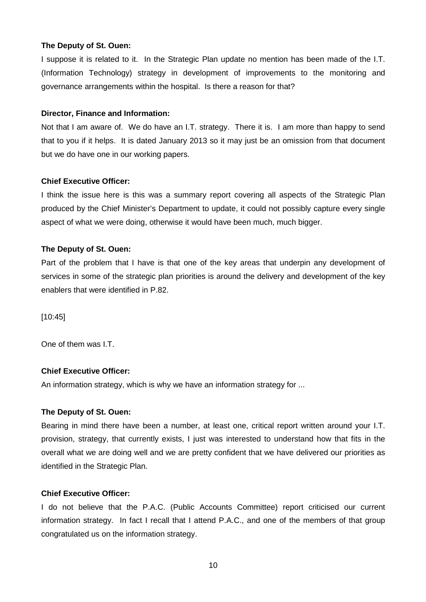I suppose it is related to it. In the Strategic Plan update no mention has been made of the I.T. (Information Technology) strategy in development of improvements to the monitoring and governance arrangements within the hospital. Is there a reason for that?

#### **Director, Finance and Information:**

Not that I am aware of. We do have an I.T. strategy. There it is. I am more than happy to send that to you if it helps. It is dated January 2013 so it may just be an omission from that document but we do have one in our working papers.

#### **Chief Executive Officer:**

I think the issue here is this was a summary report covering all aspects of the Strategic Plan produced by the Chief Minister's Department to update, it could not possibly capture every single aspect of what we were doing, otherwise it would have been much, much bigger.

#### **The Deputy of St. Ouen:**

Part of the problem that I have is that one of the key areas that underpin any development of services in some of the strategic plan priorities is around the delivery and development of the key enablers that were identified in P.82.

[10:45]

One of them was I.T.

## **Chief Executive Officer:**

An information strategy, which is why we have an information strategy for ...

#### **The Deputy of St. Ouen:**

Bearing in mind there have been a number, at least one, critical report written around your I.T. provision, strategy, that currently exists, I just was interested to understand how that fits in the overall what we are doing well and we are pretty confident that we have delivered our priorities as identified in the Strategic Plan.

#### **Chief Executive Officer:**

I do not believe that the P.A.C. (Public Accounts Committee) report criticised our current information strategy. In fact I recall that I attend P.A.C., and one of the members of that group congratulated us on the information strategy.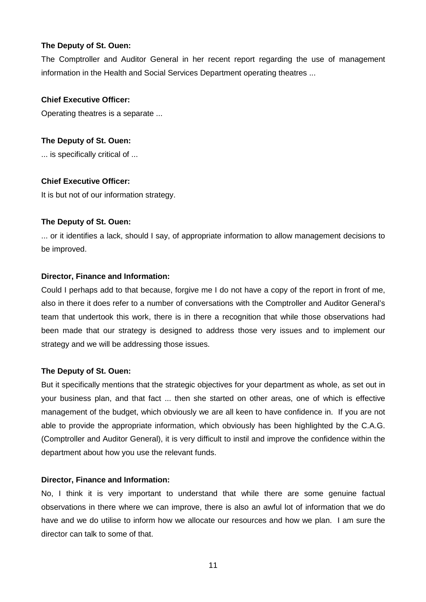The Comptroller and Auditor General in her recent report regarding the use of management information in the Health and Social Services Department operating theatres ...

## **Chief Executive Officer:**

Operating theatres is a separate ...

#### **The Deputy of St. Ouen:**

... is specifically critical of ...

#### **Chief Executive Officer:**

It is but not of our information strategy.

#### **The Deputy of St. Ouen:**

... or it identifies a lack, should I say, of appropriate information to allow management decisions to be improved.

#### **Director, Finance and Information:**

Could I perhaps add to that because, forgive me I do not have a copy of the report in front of me, also in there it does refer to a number of conversations with the Comptroller and Auditor General's team that undertook this work, there is in there a recognition that while those observations had been made that our strategy is designed to address those very issues and to implement our strategy and we will be addressing those issues.

#### **The Deputy of St. Ouen:**

But it specifically mentions that the strategic objectives for your department as whole, as set out in your business plan, and that fact ... then she started on other areas, one of which is effective management of the budget, which obviously we are all keen to have confidence in. If you are not able to provide the appropriate information, which obviously has been highlighted by the C.A.G. (Comptroller and Auditor General), it is very difficult to instil and improve the confidence within the department about how you use the relevant funds.

#### **Director, Finance and Information:**

No, I think it is very important to understand that while there are some genuine factual observations in there where we can improve, there is also an awful lot of information that we do have and we do utilise to inform how we allocate our resources and how we plan. I am sure the director can talk to some of that.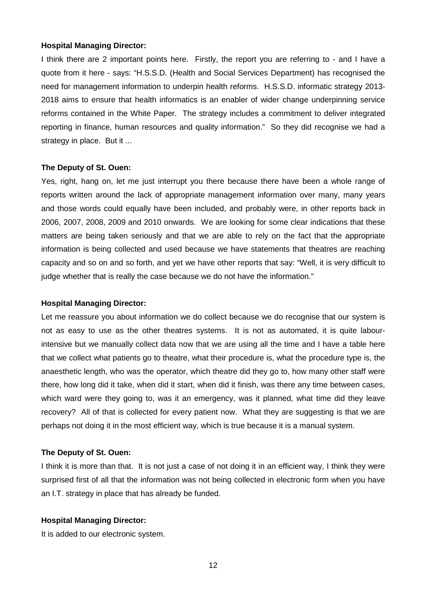I think there are 2 important points here. Firstly, the report you are referring to - and I have a quote from it here - says: "H.S.S.D. (Health and Social Services Department) has recognised the need for management information to underpin health reforms. H.S.S.D. informatic strategy 2013- 2018 aims to ensure that health informatics is an enabler of wider change underpinning service reforms contained in the White Paper. The strategy includes a commitment to deliver integrated reporting in finance, human resources and quality information." So they did recognise we had a strategy in place. But it ...

#### **The Deputy of St. Ouen:**

Yes, right, hang on, let me just interrupt you there because there have been a whole range of reports written around the lack of appropriate management information over many, many years and those words could equally have been included, and probably were, in other reports back in 2006, 2007, 2008, 2009 and 2010 onwards. We are looking for some clear indications that these matters are being taken seriously and that we are able to rely on the fact that the appropriate information is being collected and used because we have statements that theatres are reaching capacity and so on and so forth, and yet we have other reports that say: "Well, it is very difficult to judge whether that is really the case because we do not have the information."

#### **Hospital Managing Director:**

Let me reassure you about information we do collect because we do recognise that our system is not as easy to use as the other theatres systems. It is not as automated, it is quite labourintensive but we manually collect data now that we are using all the time and I have a table here that we collect what patients go to theatre, what their procedure is, what the procedure type is, the anaesthetic length, who was the operator, which theatre did they go to, how many other staff were there, how long did it take, when did it start, when did it finish, was there any time between cases, which ward were they going to, was it an emergency, was it planned, what time did they leave recovery? All of that is collected for every patient now. What they are suggesting is that we are perhaps not doing it in the most efficient way, which is true because it is a manual system.

#### **The Deputy of St. Ouen:**

I think it is more than that. It is not just a case of not doing it in an efficient way, I think they were surprised first of all that the information was not being collected in electronic form when you have an I.T. strategy in place that has already be funded.

## **Hospital Managing Director:**

It is added to our electronic system.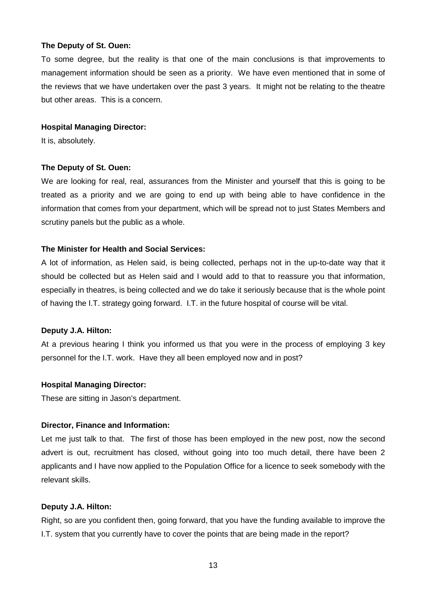To some degree, but the reality is that one of the main conclusions is that improvements to management information should be seen as a priority. We have even mentioned that in some of the reviews that we have undertaken over the past 3 years. It might not be relating to the theatre but other areas. This is a concern.

## **Hospital Managing Director:**

It is, absolutely.

#### **The Deputy of St. Ouen:**

We are looking for real, real, assurances from the Minister and yourself that this is going to be treated as a priority and we are going to end up with being able to have confidence in the information that comes from your department, which will be spread not to just States Members and scrutiny panels but the public as a whole.

## **The Minister for Health and Social Services:**

A lot of information, as Helen said, is being collected, perhaps not in the up-to-date way that it should be collected but as Helen said and I would add to that to reassure you that information, especially in theatres, is being collected and we do take it seriously because that is the whole point of having the I.T. strategy going forward. I.T. in the future hospital of course will be vital.

#### **Deputy J.A. Hilton:**

At a previous hearing I think you informed us that you were in the process of employing 3 key personnel for the I.T. work. Have they all been employed now and in post?

#### **Hospital Managing Director:**

These are sitting in Jason's department.

#### **Director, Finance and Information:**

Let me just talk to that. The first of those has been employed in the new post, now the second advert is out, recruitment has closed, without going into too much detail, there have been 2 applicants and I have now applied to the Population Office for a licence to seek somebody with the relevant skills.

#### **Deputy J.A. Hilton:**

Right, so are you confident then, going forward, that you have the funding available to improve the I.T. system that you currently have to cover the points that are being made in the report?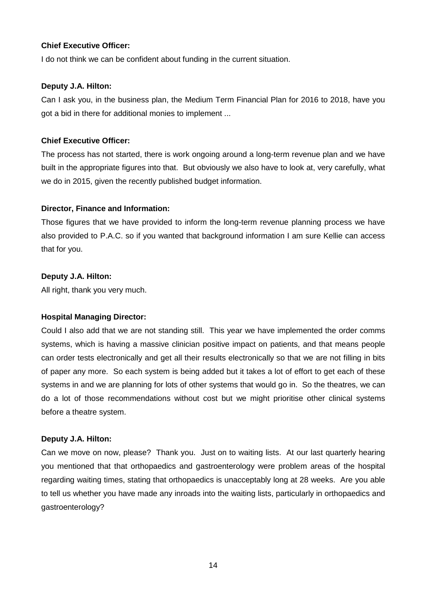## **Chief Executive Officer:**

I do not think we can be confident about funding in the current situation.

## **Deputy J.A. Hilton:**

Can I ask you, in the business plan, the Medium Term Financial Plan for 2016 to 2018, have you got a bid in there for additional monies to implement ...

## **Chief Executive Officer:**

The process has not started, there is work ongoing around a long-term revenue plan and we have built in the appropriate figures into that. But obviously we also have to look at, very carefully, what we do in 2015, given the recently published budget information.

## **Director, Finance and Information:**

Those figures that we have provided to inform the long-term revenue planning process we have also provided to P.A.C. so if you wanted that background information I am sure Kellie can access that for you.

## **Deputy J.A. Hilton:**

All right, thank you very much.

## **Hospital Managing Director:**

Could I also add that we are not standing still. This year we have implemented the order comms systems, which is having a massive clinician positive impact on patients, and that means people can order tests electronically and get all their results electronically so that we are not filling in bits of paper any more. So each system is being added but it takes a lot of effort to get each of these systems in and we are planning for lots of other systems that would go in. So the theatres, we can do a lot of those recommendations without cost but we might prioritise other clinical systems before a theatre system.

#### **Deputy J.A. Hilton:**

Can we move on now, please? Thank you. Just on to waiting lists. At our last quarterly hearing you mentioned that that orthopaedics and gastroenterology were problem areas of the hospital regarding waiting times, stating that orthopaedics is unacceptably long at 28 weeks. Are you able to tell us whether you have made any inroads into the waiting lists, particularly in orthopaedics and gastroenterology?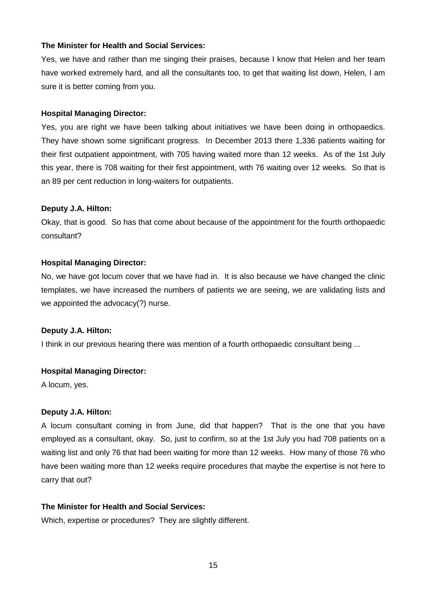#### **The Minister for Health and Social Services:**

Yes, we have and rather than me singing their praises, because I know that Helen and her team have worked extremely hard, and all the consultants too, to get that waiting list down, Helen, I am sure it is better coming from you.

#### **Hospital Managing Director:**

Yes, you are right we have been talking about initiatives we have been doing in orthopaedics. They have shown some significant progress. In December 2013 there 1,336 patients waiting for their first outpatient appointment, with 705 having waited more than 12 weeks. As of the 1st July this year, there is 708 waiting for their first appointment, with 76 waiting over 12 weeks. So that is an 89 per cent reduction in long-waiters for outpatients.

#### **Deputy J.A. Hilton:**

Okay, that is good. So has that come about because of the appointment for the fourth orthopaedic consultant?

#### **Hospital Managing Director:**

No, we have got locum cover that we have had in. It is also because we have changed the clinic templates, we have increased the numbers of patients we are seeing, we are validating lists and we appointed the advocacy(?) nurse.

#### **Deputy J.A. Hilton:**

I think in our previous hearing there was mention of a fourth orthopaedic consultant being ...

#### **Hospital Managing Director:**

A locum, yes.

#### **Deputy J.A. Hilton:**

A locum consultant coming in from June, did that happen? That is the one that you have employed as a consultant, okay. So, just to confirm, so at the 1st July you had 708 patients on a waiting list and only 76 that had been waiting for more than 12 weeks. How many of those 76 who have been waiting more than 12 weeks require procedures that maybe the expertise is not here to carry that out?

#### **The Minister for Health and Social Services:**

Which, expertise or procedures? They are slightly different.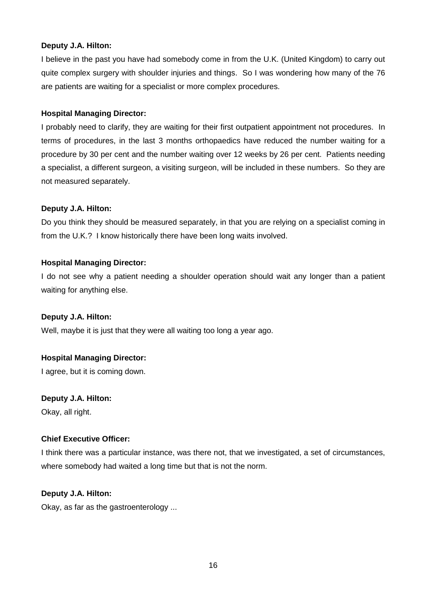## **Deputy J.A. Hilton:**

I believe in the past you have had somebody come in from the U.K. (United Kingdom) to carry out quite complex surgery with shoulder injuries and things. So I was wondering how many of the 76 are patients are waiting for a specialist or more complex procedures.

## **Hospital Managing Director:**

I probably need to clarify, they are waiting for their first outpatient appointment not procedures. In terms of procedures, in the last 3 months orthopaedics have reduced the number waiting for a procedure by 30 per cent and the number waiting over 12 weeks by 26 per cent. Patients needing a specialist, a different surgeon, a visiting surgeon, will be included in these numbers. So they are not measured separately.

## **Deputy J.A. Hilton:**

Do you think they should be measured separately, in that you are relying on a specialist coming in from the U.K.? I know historically there have been long waits involved.

## **Hospital Managing Director:**

I do not see why a patient needing a shoulder operation should wait any longer than a patient waiting for anything else.

#### **Deputy J.A. Hilton:**

Well, maybe it is just that they were all waiting too long a year ago.

## **Hospital Managing Director:**

I agree, but it is coming down.

#### **Deputy J.A. Hilton:**

Okay, all right.

## **Chief Executive Officer:**

I think there was a particular instance, was there not, that we investigated, a set of circumstances, where somebody had waited a long time but that is not the norm.

#### **Deputy J.A. Hilton:**

Okay, as far as the gastroenterology ...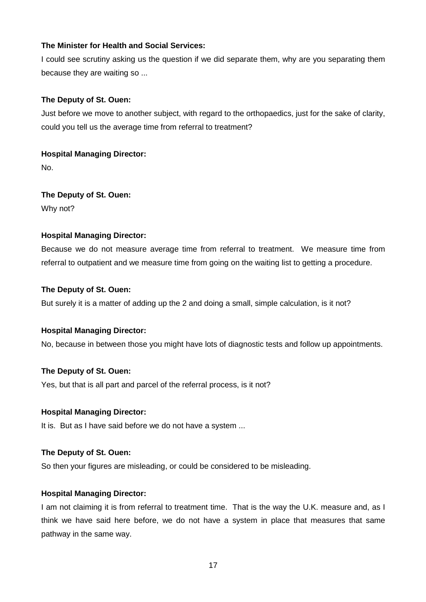## **The Minister for Health and Social Services:**

I could see scrutiny asking us the question if we did separate them, why are you separating them because they are waiting so ...

## **The Deputy of St. Ouen:**

Just before we move to another subject, with regard to the orthopaedics, just for the sake of clarity, could you tell us the average time from referral to treatment?

## **Hospital Managing Director:**

No.

**The Deputy of St. Ouen:**  Why not?

## **Hospital Managing Director:**

Because we do not measure average time from referral to treatment. We measure time from referral to outpatient and we measure time from going on the waiting list to getting a procedure.

#### **The Deputy of St. Ouen:**

But surely it is a matter of adding up the 2 and doing a small, simple calculation, is it not?

## **Hospital Managing Director:**

No, because in between those you might have lots of diagnostic tests and follow up appointments.

#### **The Deputy of St. Ouen:**

Yes, but that is all part and parcel of the referral process, is it not?

#### **Hospital Managing Director:**

It is. But as I have said before we do not have a system ...

#### **The Deputy of St. Ouen:**

So then your figures are misleading, or could be considered to be misleading.

#### **Hospital Managing Director:**

I am not claiming it is from referral to treatment time. That is the way the U.K. measure and, as I think we have said here before, we do not have a system in place that measures that same pathway in the same way.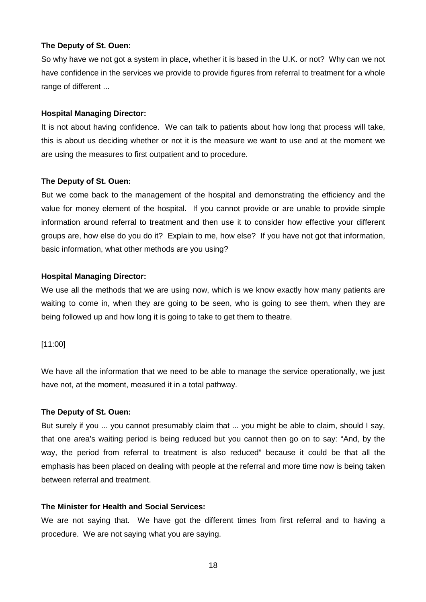So why have we not got a system in place, whether it is based in the U.K. or not? Why can we not have confidence in the services we provide to provide figures from referral to treatment for a whole range of different ...

#### **Hospital Managing Director:**

It is not about having confidence. We can talk to patients about how long that process will take, this is about us deciding whether or not it is the measure we want to use and at the moment we are using the measures to first outpatient and to procedure.

#### **The Deputy of St. Ouen:**

But we come back to the management of the hospital and demonstrating the efficiency and the value for money element of the hospital. If you cannot provide or are unable to provide simple information around referral to treatment and then use it to consider how effective your different groups are, how else do you do it? Explain to me, how else? If you have not got that information, basic information, what other methods are you using?

#### **Hospital Managing Director:**

We use all the methods that we are using now, which is we know exactly how many patients are waiting to come in, when they are going to be seen, who is going to see them, when they are being followed up and how long it is going to take to get them to theatre.

#### [11:00]

We have all the information that we need to be able to manage the service operationally, we just have not, at the moment, measured it in a total pathway.

#### **The Deputy of St. Ouen:**

But surely if you ... you cannot presumably claim that ... you might be able to claim, should I say, that one area's waiting period is being reduced but you cannot then go on to say: "And, by the way, the period from referral to treatment is also reduced" because it could be that all the emphasis has been placed on dealing with people at the referral and more time now is being taken between referral and treatment.

## **The Minister for Health and Social Services:**

We are not saying that. We have got the different times from first referral and to having a procedure. We are not saying what you are saying.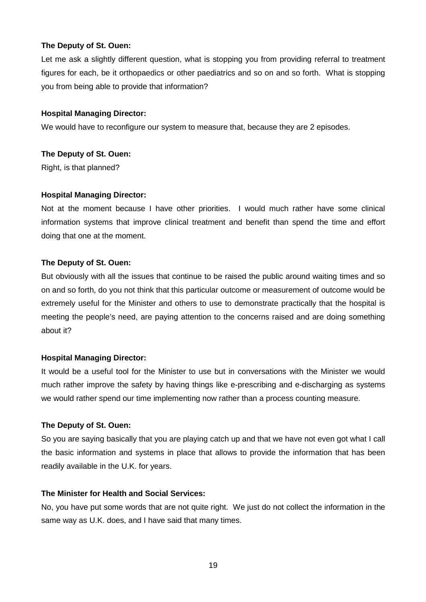Let me ask a slightly different question, what is stopping you from providing referral to treatment figures for each, be it orthopaedics or other paediatrics and so on and so forth. What is stopping you from being able to provide that information?

#### **Hospital Managing Director:**

We would have to reconfigure our system to measure that, because they are 2 episodes.

#### **The Deputy of St. Ouen:**

Right, is that planned?

#### **Hospital Managing Director:**

Not at the moment because I have other priorities. I would much rather have some clinical information systems that improve clinical treatment and benefit than spend the time and effort doing that one at the moment.

#### **The Deputy of St. Ouen:**

But obviously with all the issues that continue to be raised the public around waiting times and so on and so forth, do you not think that this particular outcome or measurement of outcome would be extremely useful for the Minister and others to use to demonstrate practically that the hospital is meeting the people's need, are paying attention to the concerns raised and are doing something about it?

#### **Hospital Managing Director:**

It would be a useful tool for the Minister to use but in conversations with the Minister we would much rather improve the safety by having things like e-prescribing and e-discharging as systems we would rather spend our time implementing now rather than a process counting measure.

#### **The Deputy of St. Ouen:**

So you are saying basically that you are playing catch up and that we have not even got what I call the basic information and systems in place that allows to provide the information that has been readily available in the U.K. for years.

#### **The Minister for Health and Social Services:**

No, you have put some words that are not quite right. We just do not collect the information in the same way as U.K. does, and I have said that many times.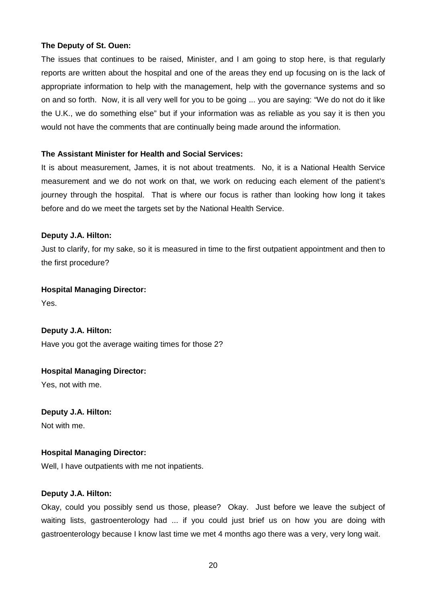The issues that continues to be raised, Minister, and I am going to stop here, is that regularly reports are written about the hospital and one of the areas they end up focusing on is the lack of appropriate information to help with the management, help with the governance systems and so on and so forth. Now, it is all very well for you to be going ... you are saying: "We do not do it like the U.K., we do something else" but if your information was as reliable as you say it is then you would not have the comments that are continually being made around the information.

#### **The Assistant Minister for Health and Social Services:**

It is about measurement, James, it is not about treatments. No, it is a National Health Service measurement and we do not work on that, we work on reducing each element of the patient's journey through the hospital. That is where our focus is rather than looking how long it takes before and do we meet the targets set by the National Health Service.

#### **Deputy J.A. Hilton:**

Just to clarify, for my sake, so it is measured in time to the first outpatient appointment and then to the first procedure?

#### **Hospital Managing Director:**

Yes.

**Deputy J.A. Hilton:**  Have you got the average waiting times for those 2?

**Hospital Managing Director:** Yes, not with me.

**Deputy J.A. Hilton:**  Not with me.

#### **Hospital Managing Director:**

Well, I have outpatients with me not inpatients.

#### **Deputy J.A. Hilton:**

Okay, could you possibly send us those, please? Okay. Just before we leave the subject of waiting lists, gastroenterology had ... if you could just brief us on how you are doing with gastroenterology because I know last time we met 4 months ago there was a very, very long wait.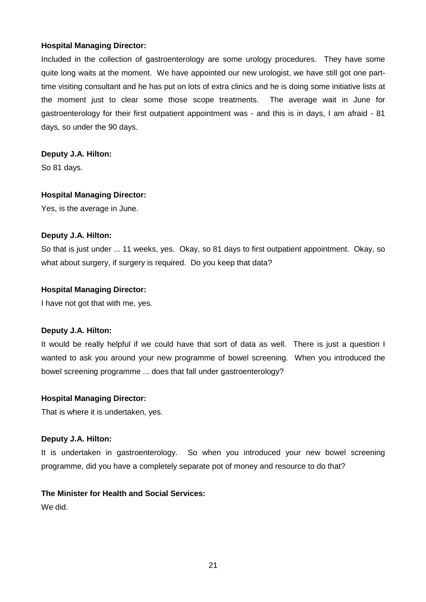Included in the collection of gastroenterology are some urology procedures. They have some quite long waits at the moment. We have appointed our new urologist, we have still got one parttime visiting consultant and he has put on lots of extra clinics and he is doing some initiative lists at the moment just to clear some those scope treatments. The average wait in June for gastroenterology for their first outpatient appointment was - and this is in days, I am afraid - 81 days, so under the 90 days.

#### **Deputy J.A. Hilton:**

So 81 days.

#### **Hospital Managing Director:**

Yes, is the average in June.

#### **Deputy J.A. Hilton:**

So that is just under ... 11 weeks, yes. Okay, so 81 days to first outpatient appointment. Okay, so what about surgery, if surgery is required. Do you keep that data?

#### **Hospital Managing Director:**

I have not got that with me, yes.

#### **Deputy J.A. Hilton:**

It would be really helpful if we could have that sort of data as well. There is just a question I wanted to ask you around your new programme of bowel screening. When you introduced the bowel screening programme ... does that fall under gastroenterology?

#### **Hospital Managing Director:**

That is where it is undertaken, yes.

#### **Deputy J.A. Hilton:**

It is undertaken in gastroenterology. So when you introduced your new bowel screening programme, did you have a completely separate pot of money and resource to do that?

## **The Minister for Health and Social Services:**

We did.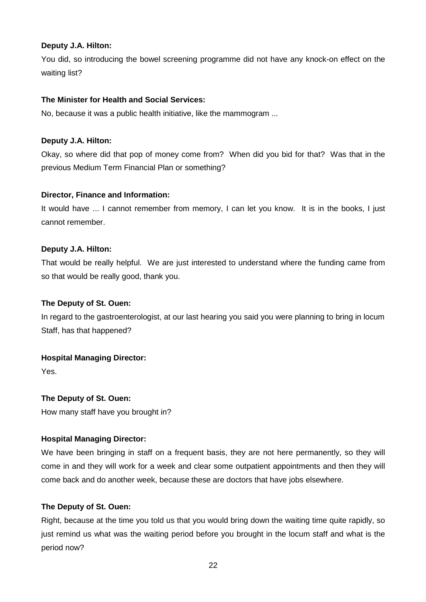## **Deputy J.A. Hilton:**

You did, so introducing the bowel screening programme did not have any knock-on effect on the waiting list?

## **The Minister for Health and Social Services:**

No, because it was a public health initiative, like the mammogram ...

## **Deputy J.A. Hilton:**

Okay, so where did that pop of money come from? When did you bid for that? Was that in the previous Medium Term Financial Plan or something?

## **Director, Finance and Information:**

It would have ... I cannot remember from memory, I can let you know. It is in the books, I just cannot remember.

## **Deputy J.A. Hilton:**

That would be really helpful. We are just interested to understand where the funding came from so that would be really good, thank you.

## **The Deputy of St. Ouen:**

In regard to the gastroenterologist, at our last hearing you said you were planning to bring in locum Staff, has that happened?

## **Hospital Managing Director:**

Yes.

## **The Deputy of St. Ouen:**

How many staff have you brought in?

## **Hospital Managing Director:**

We have been bringing in staff on a frequent basis, they are not here permanently, so they will come in and they will work for a week and clear some outpatient appointments and then they will come back and do another week, because these are doctors that have jobs elsewhere.

## **The Deputy of St. Ouen:**

Right, because at the time you told us that you would bring down the waiting time quite rapidly, so just remind us what was the waiting period before you brought in the locum staff and what is the period now?

22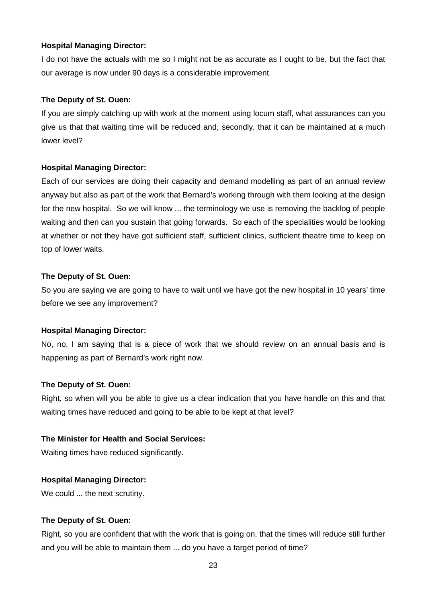I do not have the actuals with me so I might not be as accurate as I ought to be, but the fact that our average is now under 90 days is a considerable improvement.

#### **The Deputy of St. Ouen:**

If you are simply catching up with work at the moment using locum staff, what assurances can you give us that that waiting time will be reduced and, secondly, that it can be maintained at a much lower level?

#### **Hospital Managing Director:**

Each of our services are doing their capacity and demand modelling as part of an annual review anyway but also as part of the work that Bernard's working through with them looking at the design for the new hospital. So we will know ... the terminology we use is removing the backlog of people waiting and then can you sustain that going forwards. So each of the specialities would be looking at whether or not they have got sufficient staff, sufficient clinics, sufficient theatre time to keep on top of lower waits.

#### **The Deputy of St. Ouen:**

So you are saying we are going to have to wait until we have got the new hospital in 10 years' time before we see any improvement?

#### **Hospital Managing Director:**

No, no, I am saying that is a piece of work that we should review on an annual basis and is happening as part of Bernard's work right now.

#### **The Deputy of St. Ouen:**

Right, so when will you be able to give us a clear indication that you have handle on this and that waiting times have reduced and going to be able to be kept at that level?

#### **The Minister for Health and Social Services:**

Waiting times have reduced significantly.

#### **Hospital Managing Director:**

We could ... the next scrutiny.

#### **The Deputy of St. Ouen:**

Right, so you are confident that with the work that is going on, that the times will reduce still further and you will be able to maintain them ... do you have a target period of time?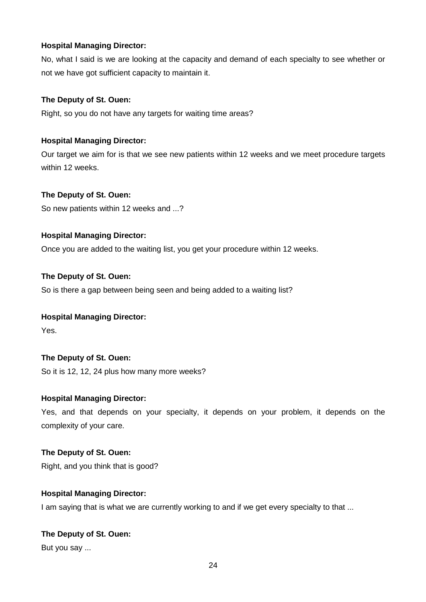No, what I said is we are looking at the capacity and demand of each specialty to see whether or not we have got sufficient capacity to maintain it.

## **The Deputy of St. Ouen:**

Right, so you do not have any targets for waiting time areas?

## **Hospital Managing Director:**

Our target we aim for is that we see new patients within 12 weeks and we meet procedure targets within 12 weeks.

## **The Deputy of St. Ouen:**

So new patients within 12 weeks and ...?

## **Hospital Managing Director:**

Once you are added to the waiting list, you get your procedure within 12 weeks.

#### **The Deputy of St. Ouen:**

So is there a gap between being seen and being added to a waiting list?

#### **Hospital Managing Director:**

Yes.

#### **The Deputy of St. Ouen:**

So it is 12, 12, 24 plus how many more weeks?

#### **Hospital Managing Director:**

Yes, and that depends on your specialty, it depends on your problem, it depends on the complexity of your care.

#### **The Deputy of St. Ouen:**

Right, and you think that is good?

#### **Hospital Managing Director:**

I am saying that is what we are currently working to and if we get every specialty to that ...

#### **The Deputy of St. Ouen:**

But you say ...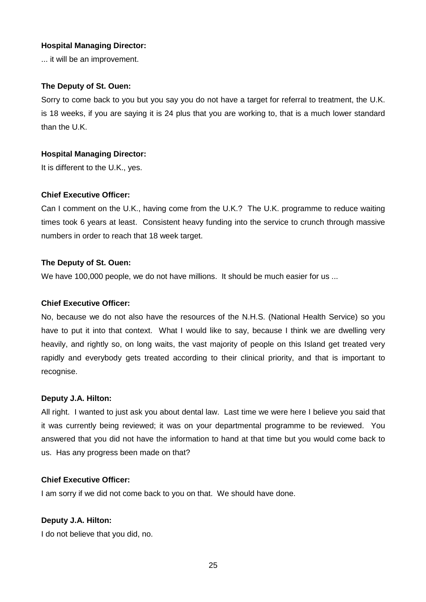... it will be an improvement.

#### **The Deputy of St. Ouen:**

Sorry to come back to you but you say you do not have a target for referral to treatment, the U.K. is 18 weeks, if you are saying it is 24 plus that you are working to, that is a much lower standard than the U.K.

#### **Hospital Managing Director:**

It is different to the U.K., yes.

#### **Chief Executive Officer:**

Can I comment on the U.K., having come from the U.K.? The U.K. programme to reduce waiting times took 6 years at least. Consistent heavy funding into the service to crunch through massive numbers in order to reach that 18 week target.

#### **The Deputy of St. Ouen:**

We have 100,000 people, we do not have millions. It should be much easier for us ...

#### **Chief Executive Officer:**

No, because we do not also have the resources of the N.H.S. (National Health Service) so you have to put it into that context. What I would like to say, because I think we are dwelling very heavily, and rightly so, on long waits, the vast majority of people on this Island get treated very rapidly and everybody gets treated according to their clinical priority, and that is important to recognise.

#### **Deputy J.A. Hilton:**

All right. I wanted to just ask you about dental law. Last time we were here I believe you said that it was currently being reviewed; it was on your departmental programme to be reviewed. You answered that you did not have the information to hand at that time but you would come back to us. Has any progress been made on that?

#### **Chief Executive Officer:**

I am sorry if we did not come back to you on that. We should have done.

## **Deputy J.A. Hilton:**

I do not believe that you did, no.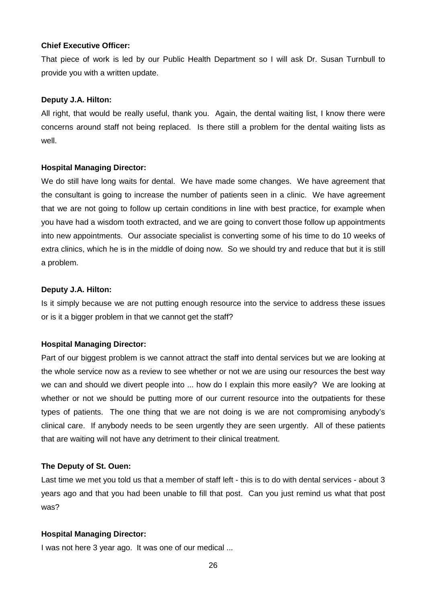#### **Chief Executive Officer:**

That piece of work is led by our Public Health Department so I will ask Dr. Susan Turnbull to provide you with a written update.

#### **Deputy J.A. Hilton:**

All right, that would be really useful, thank you. Again, the dental waiting list, I know there were concerns around staff not being replaced. Is there still a problem for the dental waiting lists as well.

#### **Hospital Managing Director:**

We do still have long waits for dental. We have made some changes. We have agreement that the consultant is going to increase the number of patients seen in a clinic. We have agreement that we are not going to follow up certain conditions in line with best practice, for example when you have had a wisdom tooth extracted, and we are going to convert those follow up appointments into new appointments. Our associate specialist is converting some of his time to do 10 weeks of extra clinics, which he is in the middle of doing now. So we should try and reduce that but it is still a problem.

#### **Deputy J.A. Hilton:**

Is it simply because we are not putting enough resource into the service to address these issues or is it a bigger problem in that we cannot get the staff?

#### **Hospital Managing Director:**

Part of our biggest problem is we cannot attract the staff into dental services but we are looking at the whole service now as a review to see whether or not we are using our resources the best way we can and should we divert people into ... how do I explain this more easily? We are looking at whether or not we should be putting more of our current resource into the outpatients for these types of patients. The one thing that we are not doing is we are not compromising anybody's clinical care. If anybody needs to be seen urgently they are seen urgently. All of these patients that are waiting will not have any detriment to their clinical treatment.

#### **The Deputy of St. Ouen:**

Last time we met you told us that a member of staff left - this is to do with dental services - about 3 years ago and that you had been unable to fill that post. Can you just remind us what that post was?

#### **Hospital Managing Director:**

I was not here 3 year ago. It was one of our medical ...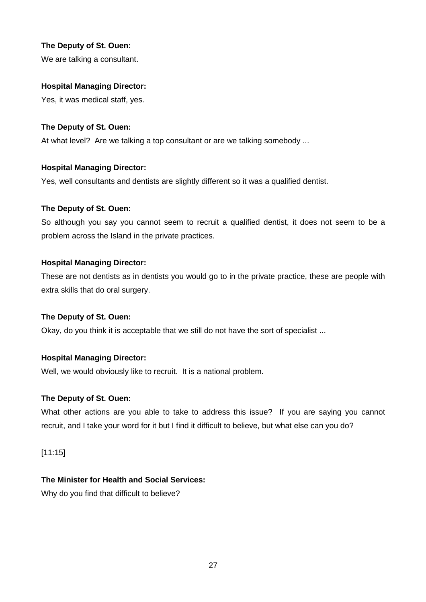We are talking a consultant.

#### **Hospital Managing Director:**

Yes, it was medical staff, yes.

## **The Deputy of St. Ouen:**

At what level? Are we talking a top consultant or are we talking somebody ...

## **Hospital Managing Director:**

Yes, well consultants and dentists are slightly different so it was a qualified dentist.

## **The Deputy of St. Ouen:**

So although you say you cannot seem to recruit a qualified dentist, it does not seem to be a problem across the Island in the private practices.

## **Hospital Managing Director:**

These are not dentists as in dentists you would go to in the private practice, these are people with extra skills that do oral surgery.

#### **The Deputy of St. Ouen:**

Okay, do you think it is acceptable that we still do not have the sort of specialist ...

## **Hospital Managing Director:**

Well, we would obviously like to recruit. It is a national problem.

#### **The Deputy of St. Ouen:**

What other actions are you able to take to address this issue? If you are saying you cannot recruit, and I take your word for it but I find it difficult to believe, but what else can you do?

#### [11:15]

## **The Minister for Health and Social Services:**

Why do you find that difficult to believe?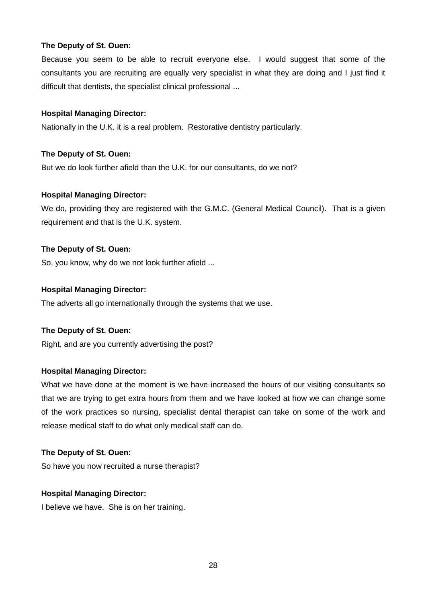Because you seem to be able to recruit everyone else. I would suggest that some of the consultants you are recruiting are equally very specialist in what they are doing and I just find it difficult that dentists, the specialist clinical professional ...

## **Hospital Managing Director:**

Nationally in the U.K. it is a real problem. Restorative dentistry particularly.

## **The Deputy of St. Ouen:**

But we do look further afield than the U.K. for our consultants, do we not?

## **Hospital Managing Director:**

We do, providing they are registered with the G.M.C. (General Medical Council). That is a given requirement and that is the U.K. system.

## **The Deputy of St. Ouen:**

So, you know, why do we not look further afield ...

## **Hospital Managing Director:**

The adverts all go internationally through the systems that we use.

## **The Deputy of St. Ouen:**

Right, and are you currently advertising the post?

## **Hospital Managing Director:**

What we have done at the moment is we have increased the hours of our visiting consultants so that we are trying to get extra hours from them and we have looked at how we can change some of the work practices so nursing, specialist dental therapist can take on some of the work and release medical staff to do what only medical staff can do.

#### **The Deputy of St. Ouen:**

So have you now recruited a nurse therapist?

#### **Hospital Managing Director:**

I believe we have. She is on her training.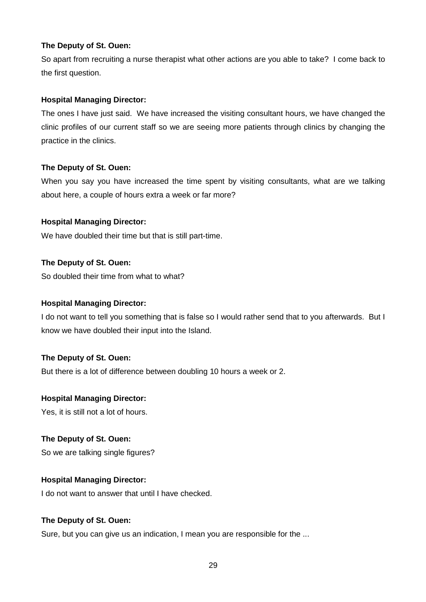So apart from recruiting a nurse therapist what other actions are you able to take? I come back to the first question.

## **Hospital Managing Director:**

The ones I have just said. We have increased the visiting consultant hours, we have changed the clinic profiles of our current staff so we are seeing more patients through clinics by changing the practice in the clinics.

## **The Deputy of St. Ouen:**

When you say you have increased the time spent by visiting consultants, what are we talking about here, a couple of hours extra a week or far more?

## **Hospital Managing Director:**

We have doubled their time but that is still part-time.

## **The Deputy of St. Ouen:**

So doubled their time from what to what?

## **Hospital Managing Director:**

I do not want to tell you something that is false so I would rather send that to you afterwards. But I know we have doubled their input into the Island.

#### **The Deputy of St. Ouen:**

But there is a lot of difference between doubling 10 hours a week or 2.

#### **Hospital Managing Director:**

Yes, it is still not a lot of hours.

#### **The Deputy of St. Ouen:**

So we are talking single figures?

## **Hospital Managing Director:**

I do not want to answer that until I have checked.

#### **The Deputy of St. Ouen:**

Sure, but you can give us an indication, I mean you are responsible for the ...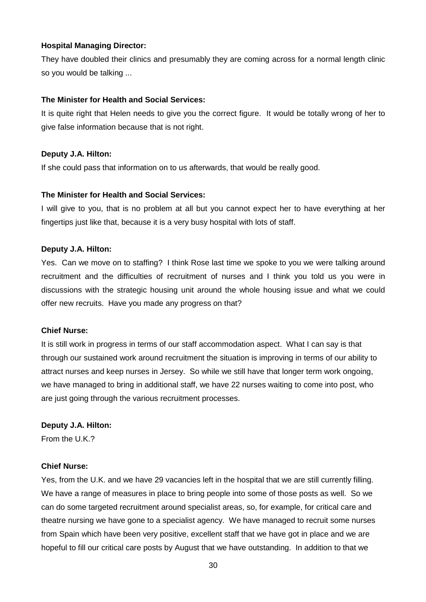They have doubled their clinics and presumably they are coming across for a normal length clinic so you would be talking ...

## **The Minister for Health and Social Services:**

It is quite right that Helen needs to give you the correct figure. It would be totally wrong of her to give false information because that is not right.

## **Deputy J.A. Hilton:**

If she could pass that information on to us afterwards, that would be really good.

## **The Minister for Health and Social Services:**

I will give to you, that is no problem at all but you cannot expect her to have everything at her fingertips just like that, because it is a very busy hospital with lots of staff.

#### **Deputy J.A. Hilton:**

Yes. Can we move on to staffing? I think Rose last time we spoke to you we were talking around recruitment and the difficulties of recruitment of nurses and I think you told us you were in discussions with the strategic housing unit around the whole housing issue and what we could offer new recruits. Have you made any progress on that?

#### **Chief Nurse:**

It is still work in progress in terms of our staff accommodation aspect. What I can say is that through our sustained work around recruitment the situation is improving in terms of our ability to attract nurses and keep nurses in Jersey. So while we still have that longer term work ongoing, we have managed to bring in additional staff, we have 22 nurses waiting to come into post, who are just going through the various recruitment processes.

#### **Deputy J.A. Hilton:**

From the U.K.?

#### **Chief Nurse:**

Yes, from the U.K. and we have 29 vacancies left in the hospital that we are still currently filling. We have a range of measures in place to bring people into some of those posts as well. So we can do some targeted recruitment around specialist areas, so, for example, for critical care and theatre nursing we have gone to a specialist agency. We have managed to recruit some nurses from Spain which have been very positive, excellent staff that we have got in place and we are hopeful to fill our critical care posts by August that we have outstanding. In addition to that we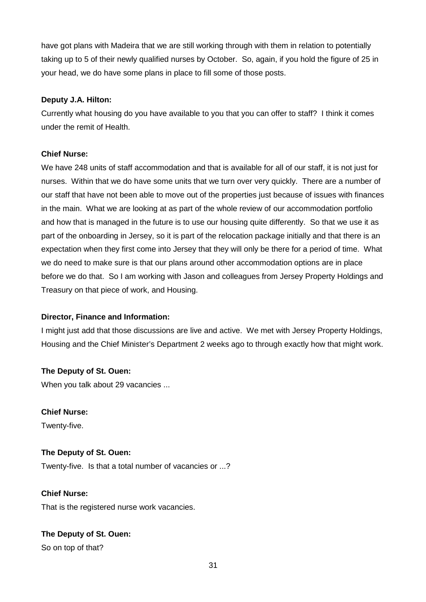have got plans with Madeira that we are still working through with them in relation to potentially taking up to 5 of their newly qualified nurses by October. So, again, if you hold the figure of 25 in your head, we do have some plans in place to fill some of those posts.

## **Deputy J.A. Hilton:**

Currently what housing do you have available to you that you can offer to staff? I think it comes under the remit of Health.

## **Chief Nurse:**

We have 248 units of staff accommodation and that is available for all of our staff, it is not just for nurses. Within that we do have some units that we turn over very quickly. There are a number of our staff that have not been able to move out of the properties just because of issues with finances in the main. What we are looking at as part of the whole review of our accommodation portfolio and how that is managed in the future is to use our housing quite differently. So that we use it as part of the onboarding in Jersey, so it is part of the relocation package initially and that there is an expectation when they first come into Jersey that they will only be there for a period of time. What we do need to make sure is that our plans around other accommodation options are in place before we do that. So I am working with Jason and colleagues from Jersey Property Holdings and Treasury on that piece of work, and Housing.

## **Director, Finance and Information:**

I might just add that those discussions are live and active. We met with Jersey Property Holdings, Housing and the Chief Minister's Department 2 weeks ago to through exactly how that might work.

## **The Deputy of St. Ouen:**

When you talk about 29 vacancies ...

# **Chief Nurse:**

Twenty-five.

## **The Deputy of St. Ouen:**

Twenty-five. Is that a total number of vacancies or ...?

**Chief Nurse:** That is the registered nurse work vacancies.

## **The Deputy of St. Ouen:**

So on top of that?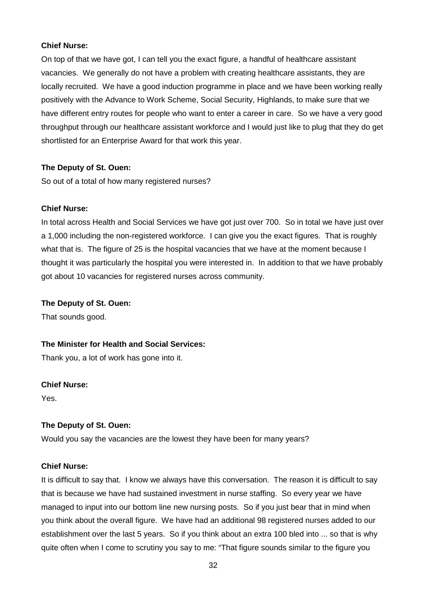#### **Chief Nurse:**

On top of that we have got, I can tell you the exact figure, a handful of healthcare assistant vacancies. We generally do not have a problem with creating healthcare assistants, they are locally recruited. We have a good induction programme in place and we have been working really positively with the Advance to Work Scheme, Social Security, Highlands, to make sure that we have different entry routes for people who want to enter a career in care. So we have a very good throughput through our healthcare assistant workforce and I would just like to plug that they do get shortlisted for an Enterprise Award for that work this year.

#### **The Deputy of St. Ouen:**

So out of a total of how many registered nurses?

#### **Chief Nurse:**

In total across Health and Social Services we have got just over 700. So in total we have just over a 1,000 including the non-registered workforce. I can give you the exact figures. That is roughly what that is. The figure of 25 is the hospital vacancies that we have at the moment because I thought it was particularly the hospital you were interested in. In addition to that we have probably got about 10 vacancies for registered nurses across community.

#### **The Deputy of St. Ouen:**

That sounds good.

#### **The Minister for Health and Social Services:**

Thank you, a lot of work has gone into it.

#### **Chief Nurse:**

Yes.

#### **The Deputy of St. Ouen:**

Would you say the vacancies are the lowest they have been for many years?

#### **Chief Nurse:**

It is difficult to say that. I know we always have this conversation. The reason it is difficult to say that is because we have had sustained investment in nurse staffing. So every year we have managed to input into our bottom line new nursing posts. So if you just bear that in mind when you think about the overall figure. We have had an additional 98 registered nurses added to our establishment over the last 5 years. So if you think about an extra 100 bled into ... so that is why quite often when I come to scrutiny you say to me: "That figure sounds similar to the figure you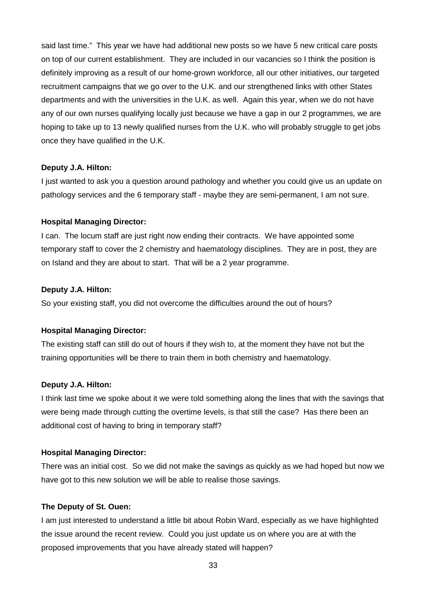said last time." This year we have had additional new posts so we have 5 new critical care posts on top of our current establishment. They are included in our vacancies so I think the position is definitely improving as a result of our home-grown workforce, all our other initiatives, our targeted recruitment campaigns that we go over to the U.K. and our strengthened links with other States departments and with the universities in the U.K. as well. Again this year, when we do not have any of our own nurses qualifying locally just because we have a gap in our 2 programmes, we are hoping to take up to 13 newly qualified nurses from the U.K. who will probably struggle to get jobs once they have qualified in the U.K.

#### **Deputy J.A. Hilton:**

I just wanted to ask you a question around pathology and whether you could give us an update on pathology services and the 6 temporary staff - maybe they are semi-permanent, I am not sure.

#### **Hospital Managing Director:**

I can. The locum staff are just right now ending their contracts. We have appointed some temporary staff to cover the 2 chemistry and haematology disciplines. They are in post, they are on Island and they are about to start. That will be a 2 year programme.

#### **Deputy J.A. Hilton:**

So your existing staff, you did not overcome the difficulties around the out of hours?

#### **Hospital Managing Director:**

The existing staff can still do out of hours if they wish to, at the moment they have not but the training opportunities will be there to train them in both chemistry and haematology.

#### **Deputy J.A. Hilton:**

I think last time we spoke about it we were told something along the lines that with the savings that were being made through cutting the overtime levels, is that still the case? Has there been an additional cost of having to bring in temporary staff?

#### **Hospital Managing Director:**

There was an initial cost. So we did not make the savings as quickly as we had hoped but now we have got to this new solution we will be able to realise those savings.

#### **The Deputy of St. Ouen:**

I am just interested to understand a little bit about Robin Ward, especially as we have highlighted the issue around the recent review. Could you just update us on where you are at with the proposed improvements that you have already stated will happen?

33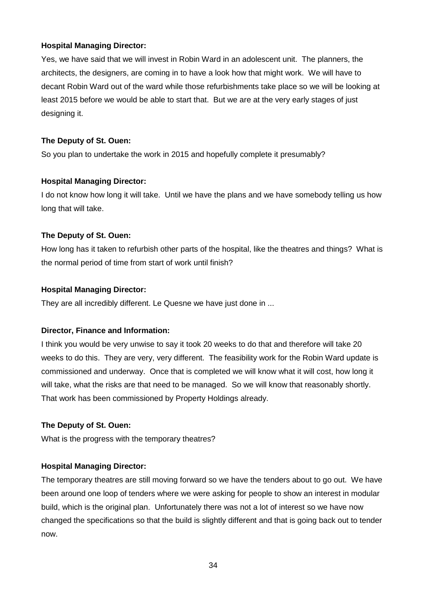Yes, we have said that we will invest in Robin Ward in an adolescent unit. The planners, the architects, the designers, are coming in to have a look how that might work. We will have to decant Robin Ward out of the ward while those refurbishments take place so we will be looking at least 2015 before we would be able to start that. But we are at the very early stages of just designing it.

## **The Deputy of St. Ouen:**

So you plan to undertake the work in 2015 and hopefully complete it presumably?

## **Hospital Managing Director:**

I do not know how long it will take. Until we have the plans and we have somebody telling us how long that will take.

## **The Deputy of St. Ouen:**

How long has it taken to refurbish other parts of the hospital, like the theatres and things? What is the normal period of time from start of work until finish?

## **Hospital Managing Director:**

They are all incredibly different. Le Quesne we have just done in ...

## **Director, Finance and Information:**

I think you would be very unwise to say it took 20 weeks to do that and therefore will take 20 weeks to do this. They are very, very different. The feasibility work for the Robin Ward update is commissioned and underway. Once that is completed we will know what it will cost, how long it will take, what the risks are that need to be managed. So we will know that reasonably shortly. That work has been commissioned by Property Holdings already.

## **The Deputy of St. Ouen:**

What is the progress with the temporary theatres?

## **Hospital Managing Director:**

The temporary theatres are still moving forward so we have the tenders about to go out. We have been around one loop of tenders where we were asking for people to show an interest in modular build, which is the original plan. Unfortunately there was not a lot of interest so we have now changed the specifications so that the build is slightly different and that is going back out to tender now.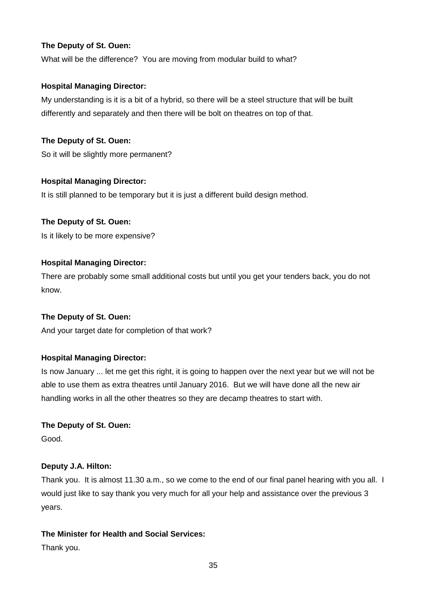What will be the difference? You are moving from modular build to what?

## **Hospital Managing Director:**

My understanding is it is a bit of a hybrid, so there will be a steel structure that will be built differently and separately and then there will be bolt on theatres on top of that.

**The Deputy of St. Ouen:** 

So it will be slightly more permanent?

## **Hospital Managing Director:**

It is still planned to be temporary but it is just a different build design method.

## **The Deputy of St. Ouen:**

Is it likely to be more expensive?

## **Hospital Managing Director:**

There are probably some small additional costs but until you get your tenders back, you do not know.

## **The Deputy of St. Ouen:**

And your target date for completion of that work?

## **Hospital Managing Director:**

Is now January ... let me get this right, it is going to happen over the next year but we will not be able to use them as extra theatres until January 2016. But we will have done all the new air handling works in all the other theatres so they are decamp theatres to start with.

#### **The Deputy of St. Ouen:**

Good.

## **Deputy J.A. Hilton:**

Thank you. It is almost 11.30 a.m., so we come to the end of our final panel hearing with you all. I would just like to say thank you very much for all your help and assistance over the previous 3 years.

## **The Minister for Health and Social Services:**

Thank you.